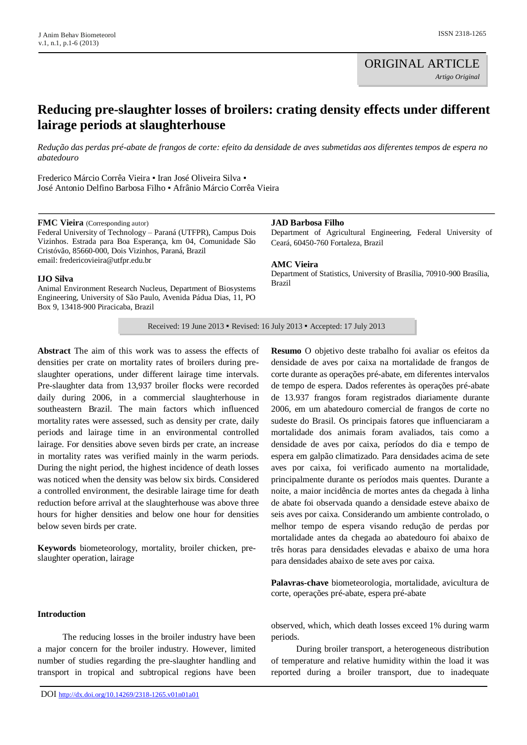# **Reducing pre-slaughter losses of broilers: crating density effects under different lairage periods at slaughterhouse**

*Redução das perdas pré-abate de frangos de corte: efeito da densidade de aves submetidas aos diferentes tempos de espera no abatedouro*

Frederico Márcio Corrêa Vieira ▪ Iran José Oliveira Silva ▪ José Antonio Delfino Barbosa Filho ▪ Afrânio Márcio Corrêa Vieira

**FMC Vieira** (Corresponding autor)

Box 9, 13418-900 Piracicaba, Brazil

**IJO Silva**

Federal University of Technology – Paraná (UTFPR), Campus Dois Vizinhos. Estrada para Boa Esperança, km 04, Comunidade São Cristóvão, 85660-000, Dois Vizinhos, Paraná, Brazil email[: fredericovieira@utfpr.edu.br](mailto:fredericovieira@utfpr.edu.br)

Animal Environment Research Nucleus, Department of Biosystems Engineering, University of São Paulo, Avenida Pádua Dias, 11, PO

#### **JAD Barbosa Filho**

Department of Agricultural Engineering, Federal University of Ceará, 60450-760 Fortaleza, Brazil

**AMC Vieira**

Department of Statistics, University of Brasília, 70910-900 Brasília, Brazil

Received: 19 June 2013 ▪ Revised: 16 July 2013 ▪ Accepted: 17 July 2013

**Abstract** The aim of this work was to assess the effects of densities per crate on mortality rates of broilers during preslaughter operations, under different lairage time intervals. Pre-slaughter data from 13,937 broiler flocks were recorded daily during 2006, in a commercial slaughterhouse in southeastern Brazil. The main factors which influenced mortality rates were assessed, such as density per crate, daily periods and lairage time in an environmental controlled lairage. For densities above seven birds per crate, an increase in mortality rates was verified mainly in the warm periods. During the night period, the highest incidence of death losses was noticed when the density was below six birds. Considered a controlled environment, the desirable lairage time for death reduction before arrival at the slaughterhouse was above three hours for higher densities and below one hour for densities below seven birds per crate.

**Keywords** biometeorology, mortality, broiler chicken, preslaughter operation, lairage

#### **Introduction**

The reducing losses in the broiler industry have been a major concern for the broiler industry. However, limited number of studies regarding the pre-slaughter handling and transport in tropical and subtropical regions have been

**Resumo** O objetivo deste trabalho foi avaliar os efeitos da densidade de aves por caixa na mortalidade de frangos de corte durante as operações pré-abate, em diferentes intervalos de tempo de espera. Dados referentes às operações pré-abate de 13.937 frangos foram registrados diariamente durante 2006, em um abatedouro comercial de frangos de corte no sudeste do Brasil. Os principais fatores que influenciaram a mortalidade dos animais foram avaliados, tais como a densidade de aves por caixa, períodos do dia e tempo de espera em galpão climatizado. Para densidades acima de sete aves por caixa, foi verificado aumento na mortalidade, principalmente durante os períodos mais quentes. Durante a noite, a maior incidência de mortes antes da chegada à linha de abate foi observada quando a densidade esteve abaixo de seis aves por caixa. Considerando um ambiente controlado, o melhor tempo de espera visando redução de perdas por mortalidade antes da chegada ao abatedouro foi abaixo de três horas para densidades elevadas e abaixo de uma hora para densidades abaixo de sete aves por caixa.

**Palavras-chave** biometeorologia, mortalidade, avicultura de corte, operações pré-abate, espera pré-abate

observed, which, which death losses exceed 1% during warm periods.

During broiler transport, a heterogeneous distribution of temperature and relative humidity within the load it was reported during a broiler transport, due to inadequate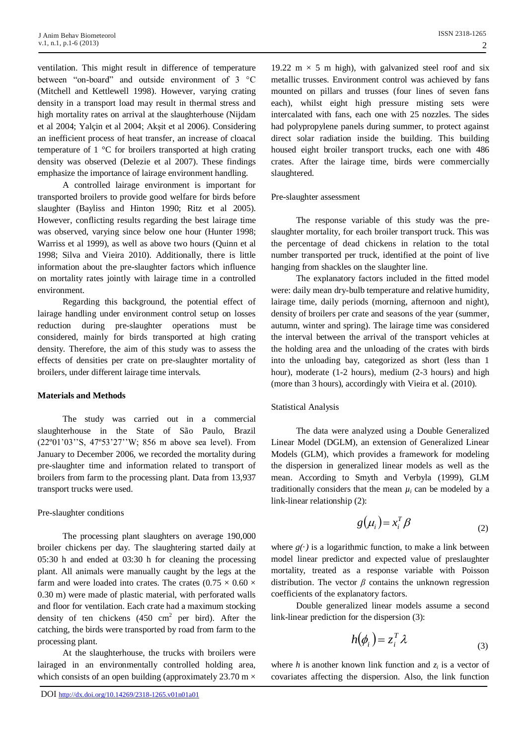ventilation. This might result in difference of temperature between "on-board" and outside environment of 3 °C (Mitchell and Kettlewell 1998). However, varying crating density in a transport load may result in thermal stress and high mortality rates on arrival at the slaughterhouse (Nijdam et al 2004; Yalçin et al 2004; Akşit et al 2006). Considering an inefficient process of heat transfer, an increase of cloacal temperature of 1 °C for broilers transported at high crating density was observed (Delezie et al 2007). These findings emphasize the importance of lairage environment handling.

A controlled lairage environment is important for transported broilers to provide good welfare for birds before slaughter (Bayliss and Hinton 1990; Ritz et al 2005). However, conflicting results regarding the best lairage time was observed, varying since below one hour (Hunter 1998; Warriss et al 1999), as well as above two hours (Quinn et al 1998; Silva and Vieira 2010). Additionally, there is little information about the pre-slaughter factors which influence on mortality rates jointly with lairage time in a controlled environment.

Regarding this background, the potential effect of lairage handling under environment control setup on losses reduction during pre-slaughter operations must be considered, mainly for birds transported at high crating density. Therefore, the aim of this study was to assess the effects of densities per crate on pre-slaughter mortality of broilers, under different lairage time intervals.

### **Materials and Methods**

The study was carried out in a commercial slaughterhouse in the State of São Paulo, Brazil (22º01'03''S, 47º53'27''W; 856 m above sea level). From January to December 2006, we recorded the mortality during pre-slaughter time and information related to transport of broilers from farm to the processing plant. Data from 13,937 transport trucks were used.

### Pre-slaughter conditions

The processing plant slaughters on average 190,000 broiler chickens per day. The slaughtering started daily at 05:30 h and ended at 03:30 h for cleaning the processing plant. All animals were manually caught by the legs at the farm and were loaded into crates. The crates  $(0.75 \times 0.60 \times$ 0.30 m) were made of plastic material, with perforated walls and floor for ventilation. Each crate had a maximum stocking density of ten chickens  $(450 \text{ cm}^2 \text{ per bird})$ . After the catching, the birds were transported by road from farm to the processing plant.

At the slaughterhouse, the trucks with broilers were lairaged in an environmentally controlled holding area, which consists of an open building (approximately 23.70 m  $\times$ 

19.22 m  $\times$  5 m high), with galvanized steel roof and six metallic trusses. Environment control was achieved by fans mounted on pillars and trusses (four lines of seven fans each), whilst eight high pressure misting sets were intercalated with fans, each one with 25 nozzles. The sides had polypropylene panels during summer, to protect against direct solar radiation inside the building. This building housed eight broiler transport trucks, each one with 486 crates. After the lairage time, birds were commercially slaughtered.

#### Pre-slaughter assessment

The response variable of this study was the preslaughter mortality, for each broiler transport truck. This was the percentage of dead chickens in relation to the total number transported per truck, identified at the point of live hanging from shackles on the slaughter line.

The explanatory factors included in the fitted model were: daily mean dry-bulb temperature and relative humidity, lairage time, daily periods (morning, afternoon and night), density of broilers per crate and seasons of the year (summer, autumn, winter and spring). The lairage time was considered the interval between the arrival of the transport vehicles at the holding area and the unloading of the crates with birds into the unloading bay, categorized as short (less than 1 hour), moderate (1-2 hours), medium (2-3 hours) and high (more than 3 hours), accordingly with Vieira et al. (2010).

### Statistical Analysis

The data were analyzed using a Double Generalized Linear Model (DGLM), an extension of Generalized Linear Models (GLM), which provides a framework for modeling the dispersion in generalized linear models as well as the mean. According to Smyth and Verbyla (1999), GLM traditionally considers that the mean  $\mu_i$  can be modeled by a link-linear relationship (2):

$$
g(\mu_i) = x_i^T \beta \tag{2}
$$

where  $g(\cdot)$  is a logarithmic function, to make a link between model linear predictor and expected value of preslaughter mortality, treated as a response variable with Poisson distribution. The vector  $\beta$  contains the unknown regression coefficients of the explanatory factors.

Double generalized linear models assume a second link-linear prediction for the dispersion (3):

$$
h(\phi_i) = z_i^T \lambda \tag{3}
$$

where *h* is another known link function and  $z_i$  is a vector of covariates affecting the dispersion. Also, the link function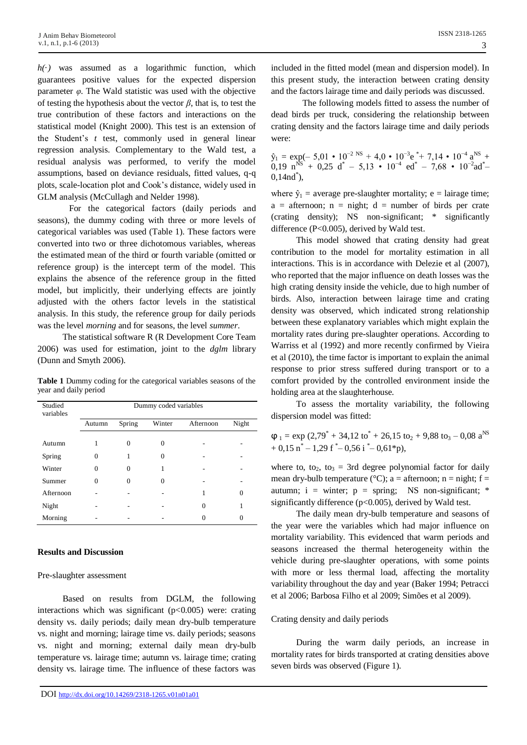$h(\cdot)$  was assumed as a logarithmic function, which guarantees positive values for the expected dispersion parameter  $\varphi$ . The Wald statistic was used with the objective of testing the hypothesis about the vector *β*, that is, to test the true contribution of these factors and interactions on the statistical model (Knight 2000). This test is an extension of the Student's *t* test, commonly used in general linear regression analysis. Complementary to the Wald test, a residual analysis was performed, to verify the model assumptions, based on deviance residuals, fitted values, q-q plots, scale-location plot and Cook's distance, widely used in GLM analysis (McCullagh and Nelder 1998).

For the categorical factors (daily periods and seasons), the dummy coding with three or more levels of categorical variables was used (Table 1). These factors were converted into two or three dichotomous variables, whereas the estimated mean of the third or fourth variable (omitted or reference group) is the intercept term of the model. This explains the absence of the reference group in the fitted model, but implicitly, their underlying effects are jointly adjusted with the others factor levels in the statistical analysis. In this study, the reference group for daily periods was the level *morning* and for seasons, the level *summer*.

The statistical software R (R Development Core Team 2006) was used for estimation, joint to the *dglm* library (Dunn and Smyth 2006).

**Table 1** Dummy coding for the categorical variables seasons of the year and daily period

| Studied<br>variables | Dummy coded variables |          |        |           |       |
|----------------------|-----------------------|----------|--------|-----------|-------|
|                      | Autumn                | Spring   | Winter | Afternoon | Night |
| Autumn               |                       | 0        | 0      |           |       |
| Spring               | $\mathbf{0}$          |          | 0      |           |       |
| Winter               | 0                     | $\Omega$ |        |           |       |
| Summer               | 0                     | $\Omega$ | 0      |           |       |
| Afternoon            |                       |          |        |           |       |
| Night                |                       |          |        | $\theta$  |       |
| Morning              |                       |          |        | 0         |       |

### **Results and Discussion**

### Pre-slaughter assessment

Based on results from DGLM, the following interactions which was significant  $(p<0.005)$  were: crating density vs. daily periods; daily mean dry-bulb temperature vs. night and morning; lairage time vs. daily periods; seasons vs. night and morning; external daily mean dry-bulb temperature vs. lairage time; autumn vs. lairage time; crating density vs. lairage time. The influence of these factors was

included in the fitted model (mean and dispersion model). In this present study, the interaction between crating density and the factors lairage time and daily periods was discussed.

The following models fitted to assess the number of dead birds per truck, considering the relationship between crating density and the factors lairage time and daily periods were:

 $\hat{y}_1 = \exp(-5.01 \cdot 10^{-2} \text{ NS} + 4.0 \cdot 10^{-3} \text{e}^* + 7.14 \cdot 10^{-4} \text{ a}^{\text{NS}} +$  $0,19 \text{ n}^{\text{NS}} + 0,25 \text{ d}^* - 5,13 \cdot 10^{-4} \text{ ed}^* - 7,68 \cdot 10^{-2} \text{ad}^*$  $0,14nd^*$ ),

where  $\hat{y}_1$  = average pre-slaughter mortality; e = lairage time;  $a =$  afternoon;  $n =$  night;  $d =$  number of birds per crate (crating density); NS non-significant; \* significantly difference (P<0.005), derived by Wald test.

This model showed that crating density had great contribution to the model for mortality estimation in all interactions. This is in accordance with Delezie et al (2007), who reported that the major influence on death losses was the high crating density inside the vehicle, due to high number of birds. Also, interaction between lairage time and crating density was observed, which indicated strong relationship between these explanatory variables which might explain the mortality rates during pre-slaughter operations. According to Warriss et al (1992) and more recently confirmed by Vieira et al (2010), the time factor is important to explain the animal response to prior stress suffered during transport or to a comfort provided by the controlled environment inside the holding area at the slaughterhouse.

To assess the mortality variability, the following dispersion model was fitted:

 $\varphi_1 = \exp (2.79^* + 34.12 \text{ to}^* + 26.15 \text{ to}_2 + 9.88 \text{ to}_3 - 0.08 \text{ a}^{\text{NS}})$  $+ 0.15 \text{ n}^* - 1.29 \text{ f}^* - 0.56 \text{ i}^* - 0.61 \text{*p}$ ,

where to, to<sub>2</sub>, to<sub>3</sub> = 3rd degree polynomial factor for daily mean dry-bulb temperature ( $^{\circ}$ C); a = afternoon; n = night; f = autumn;  $i =$  winter;  $p =$  spring; NS non-significant; \* significantly difference (p<0.005), derived by Wald test.

The daily mean dry-bulb temperature and seasons of the year were the variables which had major influence on mortality variability. This evidenced that warm periods and seasons increased the thermal heterogeneity within the vehicle during pre-slaughter operations, with some points with more or less thermal load, affecting the mortality variability throughout the day and year (Baker 1994; Petracci et al 2006; Barbosa Filho et al 2009; Simões et al 2009).

# Crating density and daily periods

During the warm daily periods, an increase in mortality rates for birds transported at crating densities above seven birds was observed (Figure 1).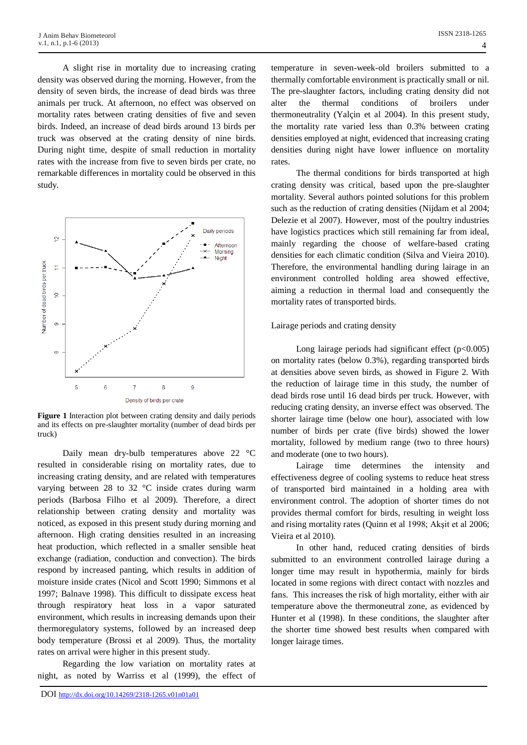A slight rise in mortality due to increasing crating density was observed during the morning. However, from the density of seven birds, the increase of dead birds was three animals per truck. At afternoon, no effect was observed on mortality rates between crating densities of five and seven birds. Indeed, an increase of dead birds around 13 birds per truck was observed at the crating density of nine birds. During night time, despite of small reduction in mortality rates with the increase from five to seven birds per crate, no remarkable differences in mortality could be observed in this study.



**Figure 1** Interaction plot between crating density and daily periods and its effects on pre-slaughter mortality (number of dead birds per truck)

Daily mean dry-bulb temperatures above 22 °C resulted in considerable rising on mortality rates, due to increasing crating density, and are related with temperatures varying between 28 to 32 °C inside crates during warm periods (Barbosa Filho et al 2009). Therefore, a direct relationship between crating density and mortality was noticed, as exposed in this present study during morning and afternoon. High crating densities resulted in an increasing heat production, which reflected in a smaller sensible heat exchange (radiation, conduction and convection). The birds respond by increased panting, which results in addition of moisture inside crates (Nicol and Scott 1990; Simmons et al 1997; Balnave 1998). This difficult to dissipate excess heat through respiratory heat loss in a vapor saturated environment, which results in increasing demands upon their thermoregulatory systems, followed by an increased deep body temperature (Brossi et al 2009). Thus, the mortality rates on arrival were higher in this present study.

Regarding the low variation on mortality rates at night, as noted by Warriss et al (1999), the effect of

temperature in seven-week-old broilers submitted to a thermally comfortable environment is practically small or nil. The pre-slaughter factors, including crating density did not alter the thermal conditions of broilers under thermoneutrality (Yalçin et al 2004). In this present study, the mortality rate varied less than 0.3% between crating densities employed at night, evidenced that increasing crating densities during night have lower influence on mortality rates.

The thermal conditions for birds transported at high crating density was critical, based upon the pre-slaughter mortality. Several authors pointed solutions for this problem such as the reduction of crating densities (Nijdam et al 2004; Delezie et al 2007). However, most of the poultry industries have logistics practices which still remaining far from ideal, mainly regarding the choose of welfare-based crating densities for each climatic condition (Silva and Vieira 2010). Therefore, the environmental handling during lairage in an environment controlled holding area showed effective, aiming a reduction in thermal load and consequently the mortality rates of transported birds.

## Lairage periods and crating density

Long lairage periods had significant effect  $(p<0.005)$ on mortality rates (below 0.3%), regarding transported birds at densities above seven birds, as showed in Figure 2. With the reduction of lairage time in this study, the number of dead birds rose until 16 dead birds per truck. However, with reducing crating density, an inverse effect was observed. The shorter lairage time (below one hour), associated with low number of birds per crate (five birds) showed the lower mortality, followed by medium range (two to three hours) and moderate (one to two hours).

Lairage time determines the intensity and effectiveness degree of cooling systems to reduce heat stress of transported bird maintained in a holding area with environment control. The adoption of shorter times do not provides thermal comfort for birds, resulting in weight loss and rising mortality rates (Quinn et al 1998; Akşit et al 2006; Vieira et al 2010).

In other hand, reduced crating densities of birds submitted to an environment controlled lairage during a longer time may result in hypothermia, mainly for birds located in some regions with direct contact with nozzles and fans. This increases the risk of high mortality, either with air temperature above the thermoneutral zone, as evidenced by Hunter et al (1998). In these conditions, the slaughter after the shorter time showed best results when compared with longer lairage times.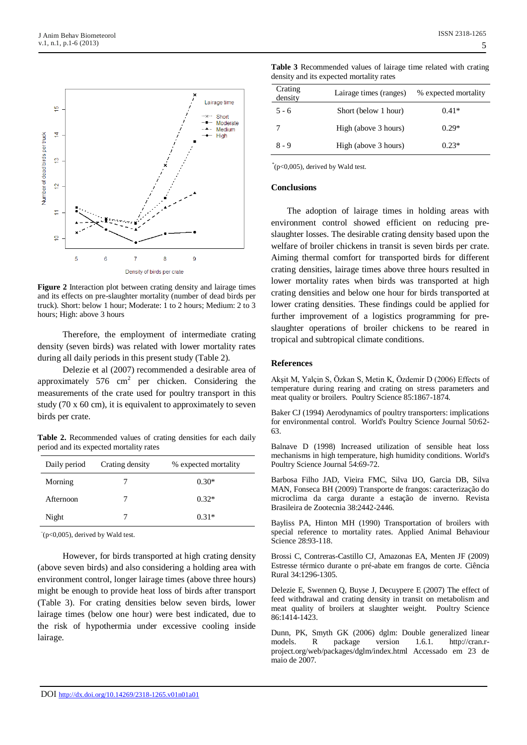

**Figure 2** Interaction plot between crating density and lairage times and its effects on pre-slaughter mortality (number of dead birds per truck). Short: below 1 hour; Moderate: 1 to 2 hours; Medium: 2 to 3 hours; High: above 3 hours

Therefore, the employment of intermediate crating density (seven birds) was related with lower mortality rates during all daily periods in this present study (Table 2).

Delezie et al (2007) recommended a desirable area of approximately 576  $\text{cm}^2$  per chicken. Considering the measurements of the crate used for poultry transport in this study (70 x 60 cm), it is equivalent to approximately to seven birds per crate.

**Table 2.** Recommended values of crating densities for each daily period and its expected mortality rates

| Daily period | Crating density | % expected mortality |
|--------------|-----------------|----------------------|
| Morning      |                 | $0.30*$              |
| Afternoon    |                 | $0.32*$              |
| Night        |                 | $0.31*$              |

 $^{\circ}$ (p<0,005), derived by Wald test.

However, for birds transported at high crating density (above seven birds) and also considering a holding area with environment control, longer lairage times (above three hours) might be enough to provide heat loss of birds after transport (Table 3). For crating densities below seven birds, lower lairage times (below one hour) were best indicated, due to the risk of hypothermia under excessive cooling inside lairage.

| <b>Table 3</b> Recommended values of lairage time related with crating<br>density and its expected mortality rates |                        |                      |  |  |  |
|--------------------------------------------------------------------------------------------------------------------|------------------------|----------------------|--|--|--|
| Crating<br>density                                                                                                 | Lairage times (ranges) | % expected mortality |  |  |  |
| $5 - 6$                                                                                                            | Short (below 1 hour)   | $0.41*$              |  |  |  |
|                                                                                                                    | High (above 3 hours)   | $0.29*$              |  |  |  |
|                                                                                                                    |                        |                      |  |  |  |

 $8 - 9$  High (above 3 hours) 0.23\*

\* (p<0,005), derived by Wald test.

#### **Conclusions**

The adoption of lairage times in holding areas with environment control showed efficient on reducing preslaughter losses. The desirable crating density based upon the welfare of broiler chickens in transit is seven birds per crate. Aiming thermal comfort for transported birds for different crating densities, lairage times above three hours resulted in lower mortality rates when birds was transported at high crating densities and below one hour for birds transported at lower crating densities. These findings could be applied for further improvement of a logistics programming for preslaughter operations of broiler chickens to be reared in tropical and subtropical climate conditions.

### **References**

Akşit M, Yalçin S, Özkan S, Metin K, Özdemir D (2006) Effects of temperature during rearing and crating on stress parameters and meat quality or broilers. Poultry Science 85:1867-1874.

Baker CJ (1994) Aerodynamics of poultry transporters: implications for environmental control. World's Poultry Science Journal 50:62- 63.

Balnave D (1998) Increased utilization of sensible heat loss mechanisms in high temperature, high humidity conditions. World's Poultry Science Journal 54:69-72.

Barbosa Filho JAD, Vieira FMC, Silva IJO, Garcia DB, Silva MAN, Fonseca BH (2009) Transporte de frangos: caracterização do microclima da carga durante a estação de inverno. Revista Brasileira de Zootecnia 38:2442-2446.

Bayliss PA, Hinton MH (1990) Transportation of broilers with special reference to mortality rates. Applied Animal Behaviour Science 28:93-118.

Brossi C, Contreras-Castillo CJ, Amazonas EA, Menten JF (2009) Estresse térmico durante o pré-abate em frangos de corte. Ciência Rural 34:1296-1305.

Delezie E, Swennen Q, Buyse J, Decuypere E (2007) The effect of feed withdrawal and crating density in transit on metabolism and meat quality of broilers at slaughter weight. Poultry Science 86:1414-1423.

Dunn, PK, Smyth GK (2006) dglm: Double generalized linear models. R package version 1.6.1. http://cran.rproject.org/web/packages/dglm/index.html Accessado em 23 de maio de 2007.